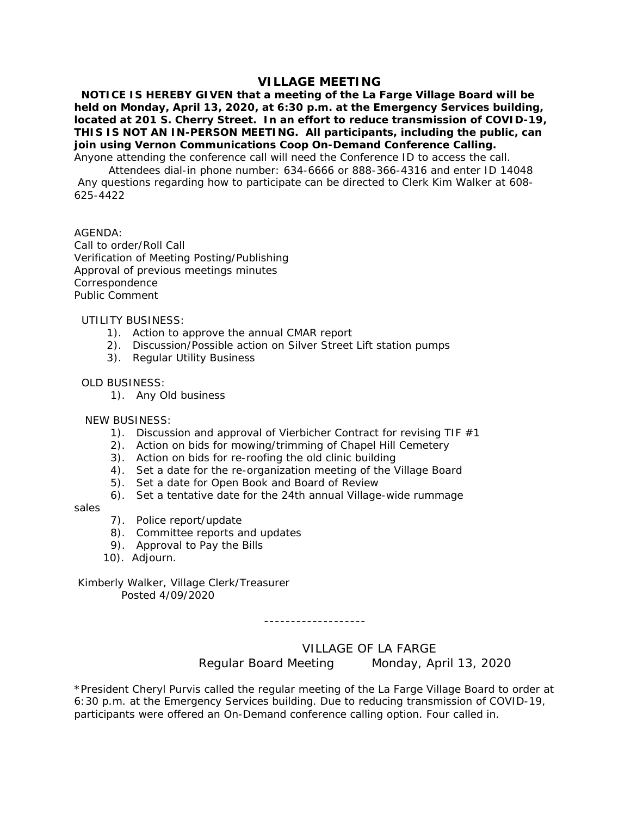# **VILLAGE MEETING**

 **NOTICE IS HEREBY GIVEN that a meeting of the La Farge Village Board will be held on Monday, April 13, 2020, at 6:30 p.m. at the Emergency Services building, located at 201 S. Cherry Street. In an effort to reduce transmission of COVID-19, THIS IS NOT AN IN-PERSON MEETING. All participants, including the public, can join using Vernon Communications Coop On-Demand Conference Calling.**

Anyone attending the conference call will need the Conference ID to access the call.

 Attendees dial-in phone number: 634-6666 or 888-366-4316 and enter ID 14048 Any questions regarding how to participate can be directed to Clerk Kim Walker at 608- 625-4422

## AGENDA:

Call to order/Roll Call Verification of Meeting Posting/Publishing Approval of previous meetings minutes Correspondence Public Comment

#### UTILITY BUSINESS:

- 1). Action to approve the annual CMAR report
- 2). Discussion/Possible action on Silver Street Lift station pumps
- 3). Regular Utility Business

#### OLD BUSINESS:

1). Any Old business

## NEW BUSINESS:

- 1). Discussion and approval of Vierbicher Contract for revising TIF  $#1$
- 2). Action on bids for mowing/trimming of Chapel Hill Cemetery
- 3). Action on bids for re-roofing the old clinic building
- 4). Set a date for the re-organization meeting of the Village Board
- 5). Set a date for Open Book and Board of Review
- 6). Set a tentative date for the 24th annual Village-wide rummage

sales

- 7). Police report/update
- 8). Committee reports and updates
- 9). Approval to Pay the Bills
- 10). Adjourn.

# Kimberly Walker, Village Clerk/Treasurer Posted 4/09/2020

-------------------

VILLAGE OF LA FARGE

Regular Board Meeting Monday, April 13, 2020

\*President Cheryl Purvis called the regular meeting of the La Farge Village Board to order at 6:30 p.m. at the Emergency Services building. Due to reducing transmission of COVID-19, participants were offered an On-Demand conference calling option. Four called in.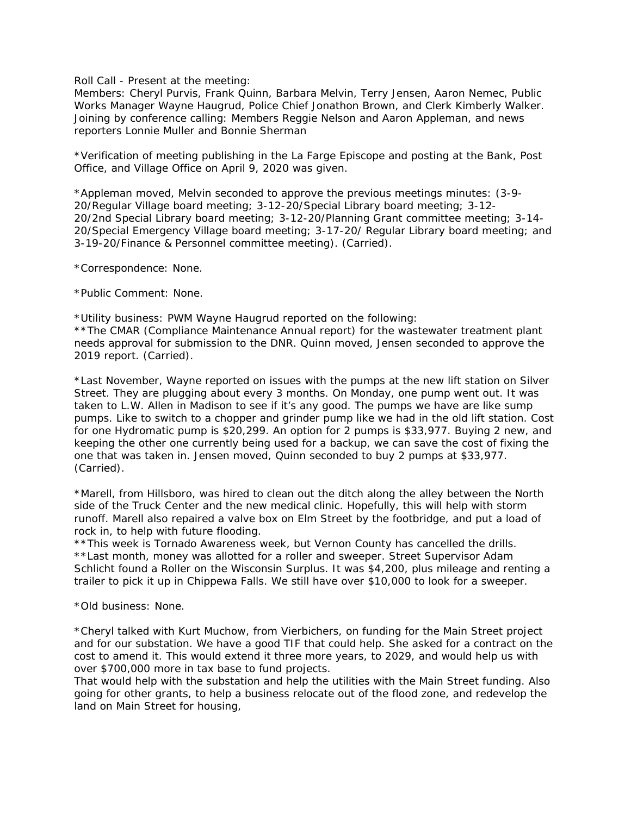Roll Call - Present at the meeting:

Members: Cheryl Purvis, Frank Quinn, Barbara Melvin, Terry Jensen, Aaron Nemec, Public Works Manager Wayne Haugrud, Police Chief Jonathon Brown, and Clerk Kimberly Walker. Joining by conference calling: Members Reggie Nelson and Aaron Appleman, and news reporters Lonnie Muller and Bonnie Sherman

\*Verification of meeting publishing in the La Farge Episcope and posting at the Bank, Post Office, and Village Office on April 9, 2020 was given.

\*Appleman moved, Melvin seconded to approve the previous meetings minutes: (3-9- 20/Regular Village board meeting; 3-12-20/Special Library board meeting; 3-12- 20/2nd Special Library board meeting; 3-12-20/Planning Grant committee meeting; 3-14- 20/Special Emergency Village board meeting; 3-17-20/ Regular Library board meeting; and 3-19-20/Finance & Personnel committee meeting). (Carried).

\*Correspondence: None.

\*Public Comment: None.

\*Utility business: PWM Wayne Haugrud reported on the following:

\*\*The CMAR (Compliance Maintenance Annual report) for the wastewater treatment plant needs approval for submission to the DNR. Quinn moved, Jensen seconded to approve the 2019 report. (Carried).

\*Last November, Wayne reported on issues with the pumps at the new lift station on Silver Street. They are plugging about every 3 months. On Monday, one pump went out. It was taken to L.W. Allen in Madison to see if it's any good. The pumps we have are like sump pumps. Like to switch to a chopper and grinder pump like we had in the old lift station. Cost for one Hydromatic pump is \$20,299. An option for 2 pumps is \$33,977. Buying 2 new, and keeping the other one currently being used for a backup, we can save the cost of fixing the one that was taken in. Jensen moved, Quinn seconded to buy 2 pumps at \$33,977. (Carried).

\*Marell, from Hillsboro, was hired to clean out the ditch along the alley between the North side of the Truck Center and the new medical clinic. Hopefully, this will help with storm runoff. Marell also repaired a valve box on Elm Street by the footbridge, and put a load of rock in, to help with future flooding.

\*\*This week is Tornado Awareness week, but Vernon County has cancelled the drills. \*\*Last month, money was allotted for a roller and sweeper. Street Supervisor Adam Schlicht found a Roller on the Wisconsin Surplus. It was \$4,200, plus mileage and renting a trailer to pick it up in Chippewa Falls. We still have over \$10,000 to look for a sweeper.

\*Old business: None.

\*Cheryl talked with Kurt Muchow, from Vierbichers, on funding for the Main Street project and for our substation. We have a good TIF that could help. She asked for a contract on the cost to amend it. This would extend it three more years, to 2029, and would help us with over \$700,000 more in tax base to fund projects.

That would help with the substation and help the utilities with the Main Street funding. Also going for other grants, to help a business relocate out of the flood zone, and redevelop the land on Main Street for housing,